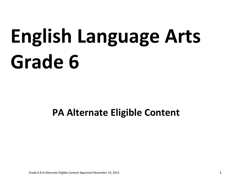# **English Language Arts Grade 6**

# **PA Alternate Eligible Content**

Grade 6 ELA Alternate Eligible Content Approved November 19, 2015 **1**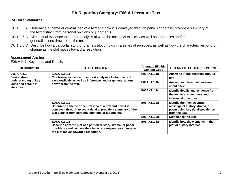### **PA Core Standards:**

- CC.1.3.6.A Determine a theme or central idea of a text and how it is conveyed through particular details; provide a summary of the text distinct from personal opinions or judgments.
- CC.1.3.6.B Cite textual evidence to support analysis of what the text says explicitly as well as inferences and/or generalizations drawn from the text.
- CC.1.3.6.C Describe how a particular story or drama's plot unfolds in a series of episodes, as well as how the characters respond or change as the plot moves toward a resolution.

#### **Assessment Anchor**

E06.A-K.1 Key Ideas and Details

| <b>DESCRIPTOR</b>                                                                               | <b>ELIGIBLE CONTENT</b>                                                                                                                                                                         | <b>Alternate Eligible</b><br><b>Content Code</b> | <b>ALTERNATE ELIGIBLE CONTENT</b>                                                                               |
|-------------------------------------------------------------------------------------------------|-------------------------------------------------------------------------------------------------------------------------------------------------------------------------------------------------|--------------------------------------------------|-----------------------------------------------------------------------------------------------------------------|
| E06.A-K.1.1<br><b>Demonstrate</b><br>understanding of key<br>ideas and details in<br>literature | E06.A-K.1.1.1<br>Cite textual evidence to support analysis of what the text<br>says explicitly as well as inferences and/or generalizations<br>drawn from the text.                             | E06AK1.1.1a                                      | Answer a literal question about a<br>text                                                                       |
|                                                                                                 |                                                                                                                                                                                                 | E06AK1.1.1b                                      | Answer an inferential question<br>about a text                                                                  |
|                                                                                                 |                                                                                                                                                                                                 | E06AK1.1.1c                                      | Identify details and evidence from<br>the text to answer literal and<br>inferential questions                   |
|                                                                                                 | E06.A-K.1.1.2<br>Determine a theme or central idea of a text and how it is<br>conveyed through relevant details; provide a summary of the<br>text distinct from personal opinions or judgments. | E06AK1.1.2a                                      | Identify the theme/central<br>message of a story, drama, or<br>poem using key details/evidence<br>from the text |
|                                                                                                 |                                                                                                                                                                                                 | E06AK1.1.2b                                      | <b>Summarize the text</b>                                                                                       |
|                                                                                                 | E06.A-K.1.1.3<br>Describe how the plot of a particular story, drama, or poem<br>unfolds, as well as how the characters respond or change as<br>the plot moves toward a resolution.              | E06AK1.1.3a                                      | Identify how the elements in the<br>plot of a story interact                                                    |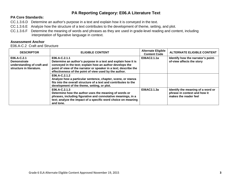# **PA Core Standards:**

- CC.1.3.6.D Determine an author's purpose in a text and explain how it is conveyed in the text.
- CC.1.3.6.E Analyze how the structure of a text contributes to the development of theme, setting, and plot.
- CC.1.3.6.F Determine the meaning of words and phrases as they are used in grade-level reading and content, including interpretation of figurative language in context.

# **Assessment Anchor**

E06.A-C.2 Craft and Structure

| <b>DESCRIPTOR</b>                                                                           | <b>ELIGIBLE CONTENT</b>                                                                                                                                                                                                                                                    | <b>Alternate Eligible</b><br><b>Content Code</b> | <b>ALTERNATE ELIGIBLE CONTENT</b>                                                          |
|---------------------------------------------------------------------------------------------|----------------------------------------------------------------------------------------------------------------------------------------------------------------------------------------------------------------------------------------------------------------------------|--------------------------------------------------|--------------------------------------------------------------------------------------------|
| E06.A-C.2.1<br><b>Demonstrate</b><br>understanding of craft and<br>structure in literature. | $E06.A-C.2.1.1$<br>Determine an author's purpose in a text and explain how it is<br>conveyed in the text; explain how an author develops the<br>point of view of the narrator or speaker in a text; describe the<br>effectiveness of the point of view used by the author. | E06AC2.1.1a                                      | Identify how the narrator's point-<br>of-view affects the story                            |
|                                                                                             | $E06.A-C.2.1.2$<br>Analyze how a particular sentence, chapter, scene, or stanza<br>fits into the overall structure of a text and contributes to the<br>development of the theme, setting, or plot.                                                                         |                                                  |                                                                                            |
|                                                                                             | $E06.A-C.2.1.3$<br>Determine how the author uses the meaning of words or<br>phrases, including figurative and connotative meanings, in a<br>text; analyze the impact of a specific word choice on meaning<br>and tone.                                                     | E06AC2.1.3a                                      | Identify the meaning of a word or<br>phrase in context and how it<br>makes the reader feel |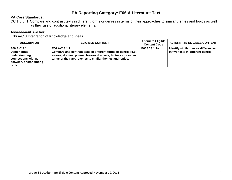#### **PA Core Standards:**

CC.1.3.6.H Compare and contrast texts in different forms or genres in terms of their approaches to similar themes and topics as well as their use of additional literary elements.

#### **Assessment Anchor**

E06.A-C.3 Integration of Knowledge and Ideas

| <b>DESCRIPTOR</b>                                                                                               | <b>ELIGIBLE CONTENT</b>                                                                                                                                                                                      | <b>Alternate Eligible</b><br><b>Content Code</b> | <b>ALTERNATE ELIGIBLE CONTENT</b>                                        |
|-----------------------------------------------------------------------------------------------------------------|--------------------------------------------------------------------------------------------------------------------------------------------------------------------------------------------------------------|--------------------------------------------------|--------------------------------------------------------------------------|
| E06.A-C.3.1<br><b>Demonstrate</b><br>understanding of<br>connections within,<br>between, and/or among<br>texts. | E06.A-C.3.1.1<br>Compare and contrast texts in different forms or genres (e.g.,<br>stories, dramas, poems, historical novels, fantasy stories) in<br>terms of their approaches to similar themes and topics. | E06AC3.1.1a                                      | Identify similarities or differences<br>in two texts in different genres |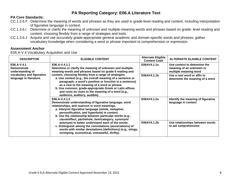### **PA Core Standards:**

- CC.1.3.6.F Determine the meaning of words and phrases as they are used in grade-level reading and content, including interpretation of figurative language in context.
- CC.1.3.6.I Determine or clarify the meaning of unknown and multiple-meaning words and phrases based on grade- level reading and content, choosing flexibly from a range of strategies and tools.
- CC.1.3.6.J Acquire and use accurately grade-appropriate general academic and domain-specific words and phrases; gather vocabulary knowledge when considering a word or phrase important to comprehension or expression.

#### **Assessment Anchor**

E06.A-V.4 Vocabulary Acquisition and Use

| <b>DESCRIPTOR</b>                                     | <b>ELIGIBLE CONTENT</b>                                                                                                                                                                                                                                                                                                                                                                                                                                                                                                                                                                                                                                                                                                                                                                                                                                                                                                                                                                                                                                                                                   | <b>Alternate Eligible</b><br><b>Content Code</b> | <b>ALTERNATE ELIGIBLE CONTENT</b>                                                 |
|-------------------------------------------------------|-----------------------------------------------------------------------------------------------------------------------------------------------------------------------------------------------------------------------------------------------------------------------------------------------------------------------------------------------------------------------------------------------------------------------------------------------------------------------------------------------------------------------------------------------------------------------------------------------------------------------------------------------------------------------------------------------------------------------------------------------------------------------------------------------------------------------------------------------------------------------------------------------------------------------------------------------------------------------------------------------------------------------------------------------------------------------------------------------------------|--------------------------------------------------|-----------------------------------------------------------------------------------|
| E06.A-V.4.1<br><b>Demonstrate</b><br>understanding of | E06.A-V.4.1.1<br>Determine or clarify the meaning of unknown and multiple-<br>meaning words and phrases based on grade 6 reading and<br>content, choosing flexibly from a range of strategies.<br>a. Use context (e.g., the overall meaning of a sentence or<br>paragraph; a word's position or function in a sentence)<br>as a clue to the meaning of a word or phrase.<br>b. Use common, grade-appropriate Greek or Latin affixes<br>and roots as clues to the meaning of a word (e.g.,<br>audience, auditory, audible).<br>E06.A-V.4.1.2<br>Demonstrate understanding of figurative language, word<br>relationships, and nuances in word meanings.<br>a. Interpret figurative language (simile, metaphor,<br>personification, and hyperbole) in context.<br>b. Use the relationship between particular words (e.g.,<br>cause/effect, part/whole, item/category, synonym/<br>antonym) to better understand each of the words.<br>c. Distinguish among the connotations (associations) of<br>words with similar denotations (definitions) (e.g., stingy,<br>scrimping, economical, unwasteful, thrifty). | E06AV4.1.1a                                      | Use context to determine the<br>meaning of an unknown or<br>multiple meaning word |
| vocabulary and figurative<br>language in literature.  |                                                                                                                                                                                                                                                                                                                                                                                                                                                                                                                                                                                                                                                                                                                                                                                                                                                                                                                                                                                                                                                                                                           | E06AV4.1.1b                                      | Use a root word or affix to<br>determine the meaning of a word                    |
|                                                       |                                                                                                                                                                                                                                                                                                                                                                                                                                                                                                                                                                                                                                                                                                                                                                                                                                                                                                                                                                                                                                                                                                           | E06AV4.1.2a                                      | Identify the meaning of figurative<br>language in context                         |
|                                                       |                                                                                                                                                                                                                                                                                                                                                                                                                                                                                                                                                                                                                                                                                                                                                                                                                                                                                                                                                                                                                                                                                                           | E06AV4.1.2b                                      | Use relationships between words<br>to aid comprehension                           |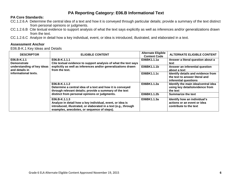# **PA Core Standards:**

- CC.1.2.6.A Determine the central idea of a text and how it is conveyed through particular details; provide a summary of the text distinct from personal opinions or judgments.
- CC.1.2.6.B Cite textual evidence to support analysis of what the text says explicitly as well as inferences and/or generalizations drawn from the text.
- CC.1.2.6.C Analyze in detail how a key individual, event, or idea is introduced, illustrated, and elaborated in a text.

# **Assessment Anchor**

E06.B-K.1 Key Ideas and Details

| <b>DESCRIPTOR</b>                                                    | <b>ELIGIBLE CONTENT</b>                                                                                                                                                                      | <b>Alternate Eligible</b><br><b>Content Code</b> | <b>ALTERNATE ELIGIBLE CONTENT</b>                                                             |
|----------------------------------------------------------------------|----------------------------------------------------------------------------------------------------------------------------------------------------------------------------------------------|--------------------------------------------------|-----------------------------------------------------------------------------------------------|
| E06.B-K.1.1<br><b>Demonstrate</b>                                    | E06.B-K.1.1.1<br>Cite textual evidence to support analysis of what the text says                                                                                                             | E06BK1.1.1a                                      | Answer a literal question about a<br>text                                                     |
| understanding of key ideas<br>and details in<br>informational texts. | explicitly as well as inferences and/or generalizations drawn<br>from the text.                                                                                                              | E06BK1.1.1b                                      | Answer an inferential question<br>about a text                                                |
|                                                                      |                                                                                                                                                                                              | E06BK1.1.1c                                      | Identify details and evidence from<br>the text to answer literal and<br>inferential questions |
|                                                                      | E06.B-K.1.1.2<br>Determine a central idea of a text and how it is conveyed<br>through relevant details; provide a summary of the text<br>distinct from personal opinions or judgments.       | E06BK1.1.2a                                      | Identify the main idea/central idea<br>using key details/evidence from<br>the text            |
|                                                                      |                                                                                                                                                                                              | E06BK1.1.2b                                      | <b>Summarize the text</b>                                                                     |
|                                                                      | E06.B-K.1.1.3<br>Analyze in detail how a key individual, event, or idea is<br>introduced, illustrated, or elaborated in a text (e.g., through<br>examples, anecdotes, or sequence of steps). | E06BK1.1.3a                                      | Identify how an individual's<br>actions or an event or idea<br>contribute to the text         |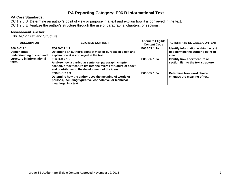#### **PA Core Standards:**

CC.1.2.6.D Determine an author's point of view or purpose in a text and explain how it is conveyed in the text. CC.1.2.6.E Analyze the author's structure through the use of paragraphs, chapters, or sections.

#### **Assessment Anchor**

E06.B-C.2 Craft and Structure

| <b>DESCRIPTOR</b>                                                                                       | <b>ELIGIBLE CONTENT</b>                                                                                                                                                                           | <b>Alternate Eligible</b><br><b>Content Code</b> | <b>ALTERNATE ELIGIBLE CONTENT</b>                                                   |
|---------------------------------------------------------------------------------------------------------|---------------------------------------------------------------------------------------------------------------------------------------------------------------------------------------------------|--------------------------------------------------|-------------------------------------------------------------------------------------|
| E06.B-C.2.1<br><b>Demonstrate</b><br>understanding of craft and<br>structure in informational<br>texts. | E06.B-C.2.1.1<br>Determine an author's point of view or purpose in a text and<br>explain how it is conveyed in the text.                                                                          | E06BC2.1.1a                                      | Identify information within the text<br>to determine the author's point-of-<br>view |
|                                                                                                         | E06.B-C.2.1.2<br>Analyze how a particular sentence, paragraph, chapter,<br>section, or text feature fits into the overall structure of a text<br>and contributes to the development of the ideas. | E06BC2.1.2a                                      | Identify how a text feature or<br>section fit into the text structure               |
|                                                                                                         | EO6.B-C.2.1.3<br>Determine how the author uses the meaning of words or<br>phrases, including figurative, connotative, or technical<br>meanings, in a text.                                        | E06BC2.1.3a                                      | Determine how word choice<br>changes the meaning of text                            |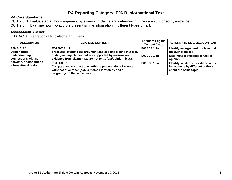# **PA Core Standards:**

CC.1.2.6.H Evaluate an author's argument by examining claims and determining if they are supported by evidence.

CC.1.2.6.I Examine how two authors present similar information in different types of text.

#### **Assessment Anchor**

E06.B-C.3 Integration of Knowledge and Ideas

| <b>DESCRIPTOR</b>                                                                        | <b>ELIGIBLE CONTENT</b>                                                                                                                                                | <b>Alternate Eligible</b><br><b>Content Code</b> | <b>ALTERNATE ELIGIBLE CONTENT</b>                                                                 |
|------------------------------------------------------------------------------------------|------------------------------------------------------------------------------------------------------------------------------------------------------------------------|--------------------------------------------------|---------------------------------------------------------------------------------------------------|
| $E06.B-C.3.1$<br><b>Demonstrate</b>                                                      | E06.B-C.3.1.1<br>Trace and evaluate the argument and specific claims in a text,                                                                                        | E06BC3.1.1a                                      | Identify an argument or claim that<br>the author makes                                            |
| understanding of<br>connections within,<br>between, and/or among<br>informational texts. | distinguishing claims that are supported by reasons and<br>evidence from claims that are not (e.g., fact/opinion, bias).                                               | E06BC3.1.1b                                      | Determine if evidence is fact or<br>opinion                                                       |
|                                                                                          | $E06.B-C.3.1.2$<br>Compare and contrast one author's presentation of events<br>with that of another (e.g., a memoir written by and a<br>biography on the same person). | E06BC3.1.2a                                      | Identify similarities or differences<br>in two texts by different authors<br>about the same topic |